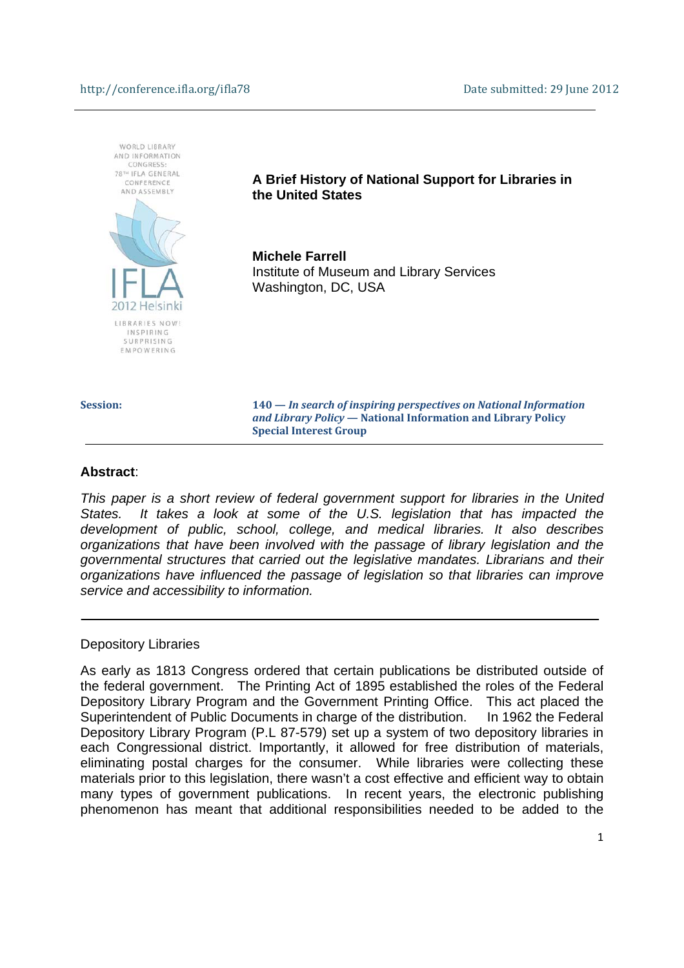

**Session: 140 —** *In search of inspiring perspectives on National Information and Library Policy* **— National Information and Library Policy Special Interest Group** 

#### **Abstract**:

*This paper is a short review of federal government support for libraries in the United States. It takes a look at some of the U.S. legislation that has impacted the development of public, school, college, and medical libraries. It also describes organizations that have been involved with the passage of library legislation and the governmental structures that carried out the legislative mandates. Librarians and their organizations have influenced the passage of legislation so that libraries can improve service and accessibility to information.* 

#### Depository Libraries

As early as 1813 Congress ordered that certain publications be distributed outside of the federal government. The Printing Act of 1895 established the roles of the Federal Depository Library Program and the Government Printing Office. This act placed the Superintendent of Public Documents in charge of the distribution. In 1962 the Federal Depository Library Program (P.L 87-579) set up a system of two depository libraries in each Congressional district. Importantly, it allowed for free distribution of materials, eliminating postal charges for the consumer. While libraries were collecting these materials prior to this legislation, there wasn't a cost effective and efficient way to obtain many types of government publications. In recent years, the electronic publishing phenomenon has meant that additional responsibilities needed to be added to the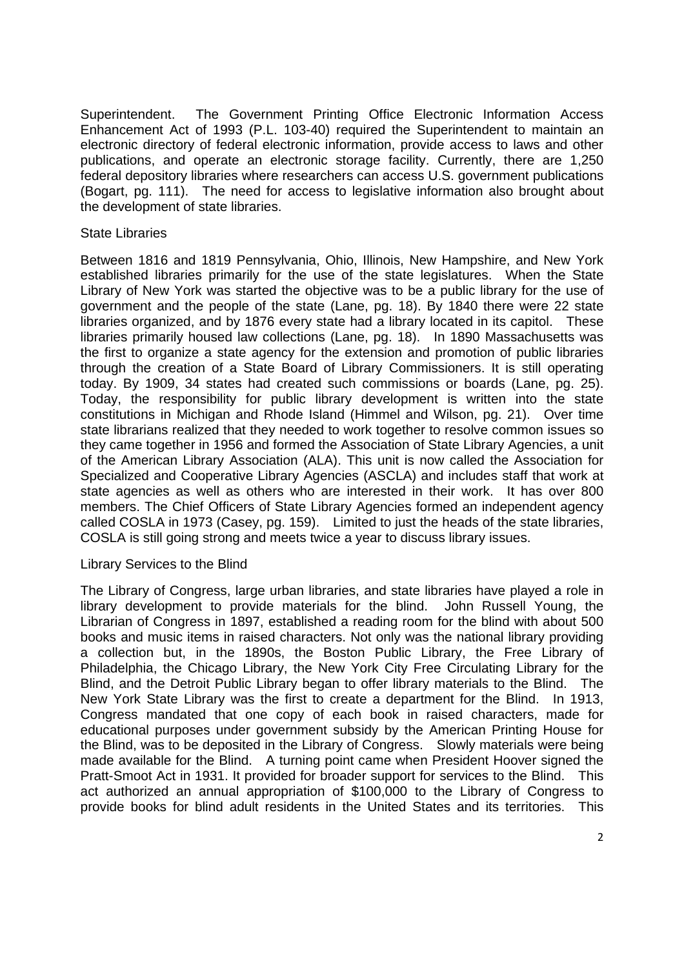Superintendent. The Government Printing Office Electronic Information Access Enhancement Act of 1993 (P.L. 103-40) required the Superintendent to maintain an electronic directory of federal electronic information, provide access to laws and other publications, and operate an electronic storage facility. Currently, there are 1,250 federal depository libraries where researchers can access U.S. government publications (Bogart, pg. 111). The need for access to legislative information also brought about the development of state libraries.

# State Libraries

Between 1816 and 1819 Pennsylvania, Ohio, Illinois, New Hampshire, and New York established libraries primarily for the use of the state legislatures. When the State Library of New York was started the objective was to be a public library for the use of government and the people of the state (Lane, pg. 18). By 1840 there were 22 state libraries organized, and by 1876 every state had a library located in its capitol. These libraries primarily housed law collections (Lane, pg. 18). In 1890 Massachusetts was the first to organize a state agency for the extension and promotion of public libraries through the creation of a State Board of Library Commissioners. It is still operating today. By 1909, 34 states had created such commissions or boards (Lane, pg. 25). Today, the responsibility for public library development is written into the state constitutions in Michigan and Rhode Island (Himmel and Wilson, pg. 21). Over time state librarians realized that they needed to work together to resolve common issues so they came together in 1956 and formed the Association of State Library Agencies, a unit of the American Library Association (ALA). This unit is now called the Association for Specialized and Cooperative Library Agencies (ASCLA) and includes staff that work at state agencies as well as others who are interested in their work. It has over 800 members. The Chief Officers of State Library Agencies formed an independent agency called COSLA in 1973 (Casey, pg. 159). Limited to just the heads of the state libraries, COSLA is still going strong and meets twice a year to discuss library issues.

## Library Services to the Blind

The Library of Congress, large urban libraries, and state libraries have played a role in library development to provide materials for the blind. John Russell Young, the Librarian of Congress in 1897, established a reading room for the blind with about 500 books and music items in raised characters. Not only was the national library providing a collection but, in the 1890s, the Boston Public Library, the Free Library of Philadelphia, the Chicago Library, the New York City Free Circulating Library for the Blind, and the Detroit Public Library began to offer library materials to the Blind. The New York State Library was the first to create a department for the Blind. In 1913, Congress mandated that one copy of each book in raised characters, made for educational purposes under government subsidy by the American Printing House for the Blind, was to be deposited in the Library of Congress. Slowly materials were being made available for the Blind. A turning point came when President Hoover signed the Pratt-Smoot Act in 1931. It provided for broader support for services to the Blind. This act authorized an annual appropriation of \$100,000 to the Library of Congress to provide books for blind adult residents in the United States and its territories. This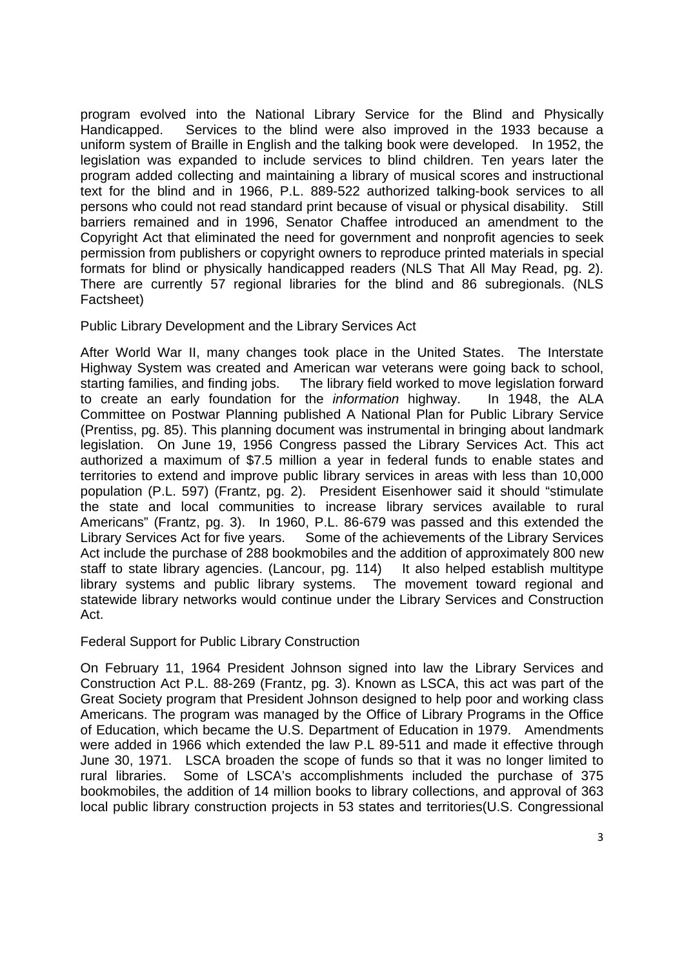program evolved into the National Library Service for the Blind and Physically Handicapped. Services to the blind were also improved in the 1933 because a uniform system of Braille in English and the talking book were developed. In 1952, the legislation was expanded to include services to blind children. Ten years later the program added collecting and maintaining a library of musical scores and instructional text for the blind and in 1966, P.L. 889-522 authorized talking-book services to all persons who could not read standard print because of visual or physical disability. Still barriers remained and in 1996, Senator Chaffee introduced an amendment to the Copyright Act that eliminated the need for government and nonprofit agencies to seek permission from publishers or copyright owners to reproduce printed materials in special formats for blind or physically handicapped readers (NLS That All May Read, pg. 2). There are currently 57 regional libraries for the blind and 86 subregionals. (NLS Factsheet)

# Public Library Development and the Library Services Act

After World War II, many changes took place in the United States. The Interstate Highway System was created and American war veterans were going back to school, starting families, and finding jobs. The library field worked to move legislation forward to create an early foundation for the *information* highway. In 1948, the ALA Committee on Postwar Planning published A National Plan for Public Library Service (Prentiss, pg. 85). This planning document was instrumental in bringing about landmark legislation. On June 19, 1956 Congress passed the Library Services Act. This act authorized a maximum of \$7.5 million a year in federal funds to enable states and territories to extend and improve public library services in areas with less than 10,000 population (P.L. 597) (Frantz, pg. 2). President Eisenhower said it should "stimulate the state and local communities to increase library services available to rural Americans" (Frantz, pg. 3). In 1960, P.L. 86-679 was passed and this extended the Library Services Act for five years. Some of the achievements of the Library Services Act include the purchase of 288 bookmobiles and the addition of approximately 800 new staff to state library agencies. (Lancour, pg. 114) It also helped establish multitype library systems and public library systems. The movement toward regional and statewide library networks would continue under the Library Services and Construction Act.

Federal Support for Public Library Construction

On February 11, 1964 President Johnson signed into law the Library Services and Construction Act P.L. 88-269 (Frantz, pg. 3). Known as LSCA, this act was part of the Great Society program that President Johnson designed to help poor and working class Americans. The program was managed by the Office of Library Programs in the Office of Education, which became the U.S. Department of Education in 1979. Amendments were added in 1966 which extended the law P.L 89-511 and made it effective through June 30, 1971. LSCA broaden the scope of funds so that it was no longer limited to rural libraries. Some of LSCA's accomplishments included the purchase of 375 bookmobiles, the addition of 14 million books to library collections, and approval of 363 local public library construction projects in 53 states and territories(U.S. Congressional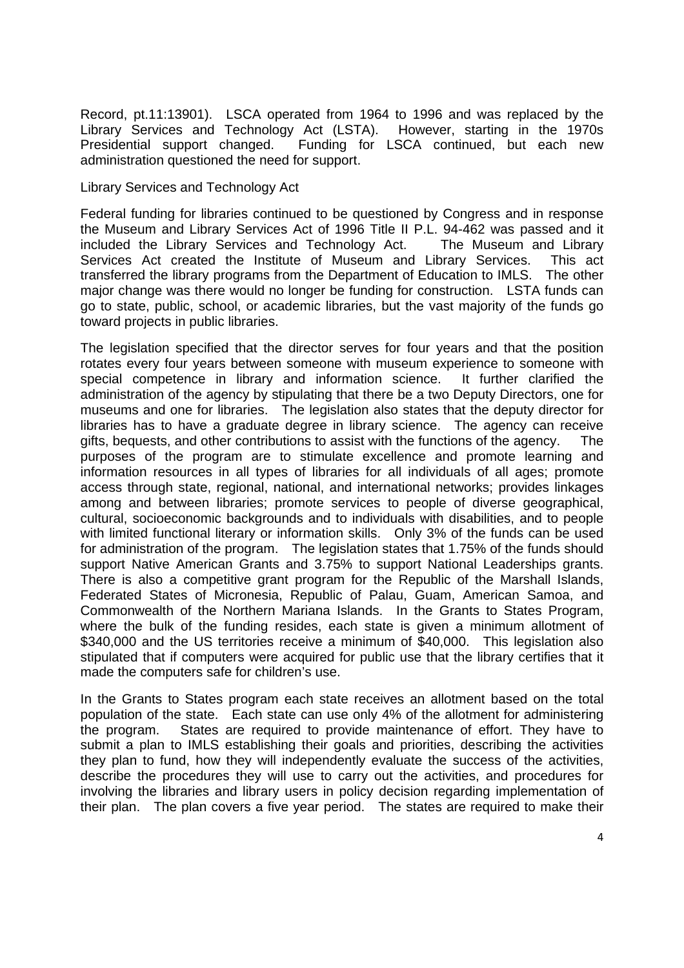Record, pt.11:13901). LSCA operated from 1964 to 1996 and was replaced by the Library Services and Technology Act (LSTA). However, starting in the 1970s Presidential support changed. Funding for LSCA continued, but each new administration questioned the need for support.

## Library Services and Technology Act

Federal funding for libraries continued to be questioned by Congress and in response the Museum and Library Services Act of 1996 Title II P.L. 94-462 was passed and it included the Library Services and Technology Act. The Museum and Library Services Act created the Institute of Museum and Library Services. This act transferred the library programs from the Department of Education to IMLS. The other major change was there would no longer be funding for construction. LSTA funds can go to state, public, school, or academic libraries, but the vast majority of the funds go toward projects in public libraries.

The legislation specified that the director serves for four years and that the position rotates every four years between someone with museum experience to someone with special competence in library and information science. It further clarified the administration of the agency by stipulating that there be a two Deputy Directors, one for museums and one for libraries. The legislation also states that the deputy director for libraries has to have a graduate degree in library science. The agency can receive gifts, bequests, and other contributions to assist with the functions of the agency. The purposes of the program are to stimulate excellence and promote learning and information resources in all types of libraries for all individuals of all ages; promote access through state, regional, national, and international networks; provides linkages among and between libraries; promote services to people of diverse geographical, cultural, socioeconomic backgrounds and to individuals with disabilities, and to people with limited functional literary or information skills. Only 3% of the funds can be used for administration of the program. The legislation states that 1.75% of the funds should support Native American Grants and 3.75% to support National Leaderships grants. There is also a competitive grant program for the Republic of the Marshall Islands, Federated States of Micronesia, Republic of Palau, Guam, American Samoa, and Commonwealth of the Northern Mariana Islands. In the Grants to States Program, where the bulk of the funding resides, each state is given a minimum allotment of \$340,000 and the US territories receive a minimum of \$40,000. This legislation also stipulated that if computers were acquired for public use that the library certifies that it made the computers safe for children's use.

In the Grants to States program each state receives an allotment based on the total population of the state. Each state can use only 4% of the allotment for administering the program. States are required to provide maintenance of effort. They have to submit a plan to IMLS establishing their goals and priorities, describing the activities they plan to fund, how they will independently evaluate the success of the activities, describe the procedures they will use to carry out the activities, and procedures for involving the libraries and library users in policy decision regarding implementation of their plan. The plan covers a five year period. The states are required to make their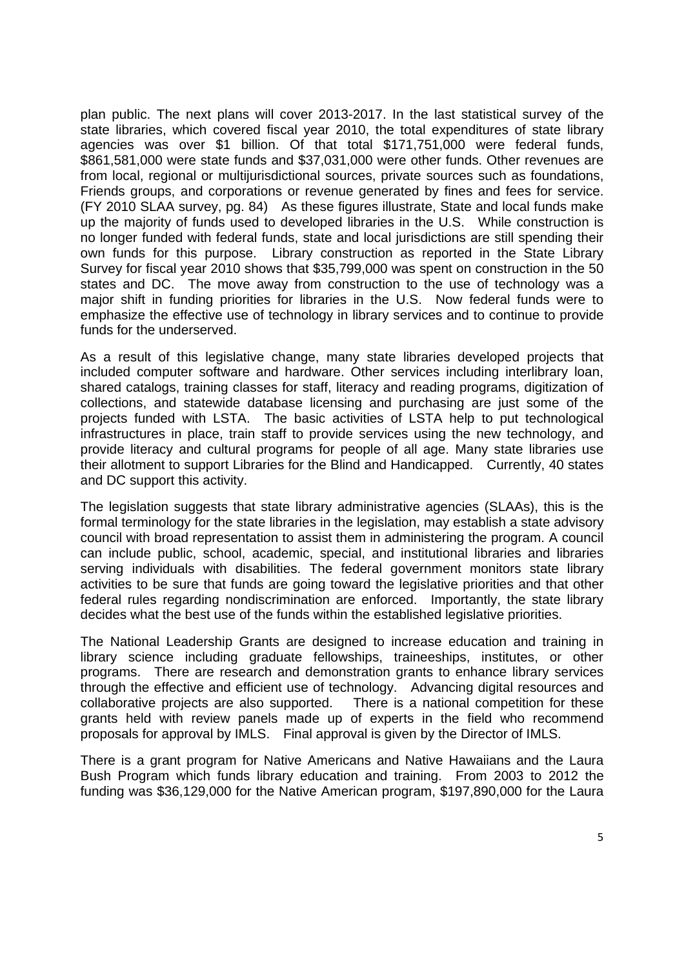plan public. The next plans will cover 2013-2017. In the last statistical survey of the state libraries, which covered fiscal year 2010, the total expenditures of state library agencies was over \$1 billion. Of that total \$171,751,000 were federal funds, \$861,581,000 were state funds and \$37,031,000 were other funds. Other revenues are from local, regional or multijurisdictional sources, private sources such as foundations, Friends groups, and corporations or revenue generated by fines and fees for service. (FY 2010 SLAA survey, pg. 84) As these figures illustrate, State and local funds make up the majority of funds used to developed libraries in the U.S. While construction is no longer funded with federal funds, state and local jurisdictions are still spending their own funds for this purpose. Library construction as reported in the State Library Survey for fiscal year 2010 shows that \$35,799,000 was spent on construction in the 50 states and DC. The move away from construction to the use of technology was a major shift in funding priorities for libraries in the U.S. Now federal funds were to emphasize the effective use of technology in library services and to continue to provide funds for the underserved.

As a result of this legislative change, many state libraries developed projects that included computer software and hardware. Other services including interlibrary loan, shared catalogs, training classes for staff, literacy and reading programs, digitization of collections, and statewide database licensing and purchasing are just some of the projects funded with LSTA. The basic activities of LSTA help to put technological infrastructures in place, train staff to provide services using the new technology, and provide literacy and cultural programs for people of all age. Many state libraries use their allotment to support Libraries for the Blind and Handicapped. Currently, 40 states and DC support this activity.

The legislation suggests that state library administrative agencies (SLAAs), this is the formal terminology for the state libraries in the legislation, may establish a state advisory council with broad representation to assist them in administering the program. A council can include public, school, academic, special, and institutional libraries and libraries serving individuals with disabilities. The federal government monitors state library activities to be sure that funds are going toward the legislative priorities and that other federal rules regarding nondiscrimination are enforced. Importantly, the state library decides what the best use of the funds within the established legislative priorities.

The National Leadership Grants are designed to increase education and training in library science including graduate fellowships, traineeships, institutes, or other programs. There are research and demonstration grants to enhance library services through the effective and efficient use of technology. Advancing digital resources and collaborative projects are also supported. There is a national competition for these grants held with review panels made up of experts in the field who recommend proposals for approval by IMLS. Final approval is given by the Director of IMLS.

There is a grant program for Native Americans and Native Hawaiians and the Laura Bush Program which funds library education and training. From 2003 to 2012 the funding was \$36,129,000 for the Native American program, \$197,890,000 for the Laura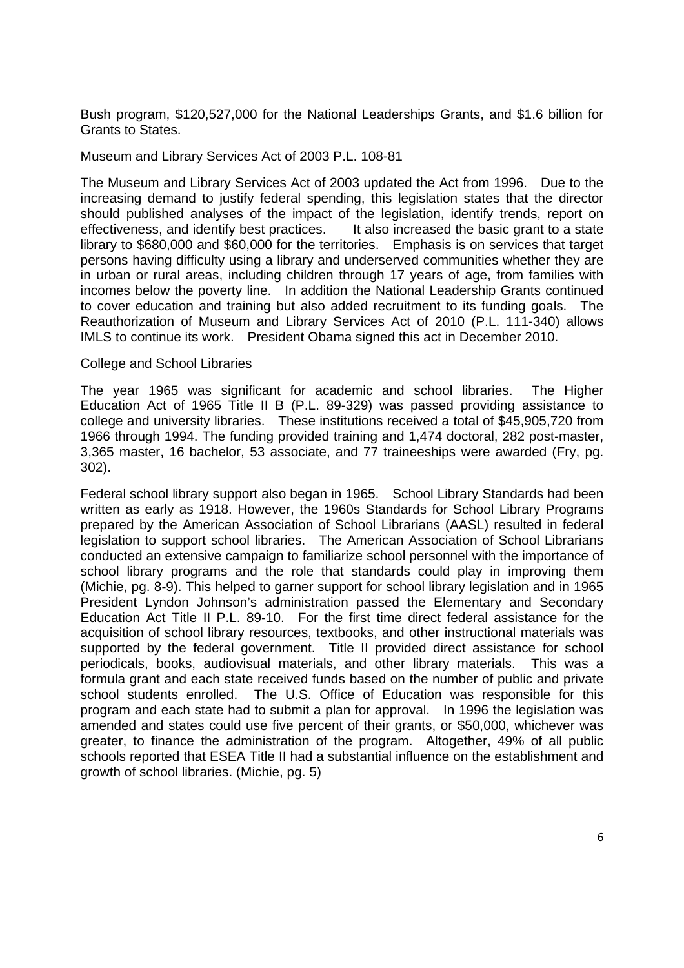Bush program, \$120,527,000 for the National Leaderships Grants, and \$1.6 billion for Grants to States.

#### Museum and Library Services Act of 2003 P.L. 108-81

The Museum and Library Services Act of 2003 updated the Act from 1996. Due to the increasing demand to justify federal spending, this legislation states that the director should published analyses of the impact of the legislation, identify trends, report on effectiveness, and identify best practices. It also increased the basic grant to a state library to \$680,000 and \$60,000 for the territories. Emphasis is on services that target persons having difficulty using a library and underserved communities whether they are in urban or rural areas, including children through 17 years of age, from families with incomes below the poverty line. In addition the National Leadership Grants continued to cover education and training but also added recruitment to its funding goals. The Reauthorization of Museum and Library Services Act of 2010 (P.L. 111-340) allows IMLS to continue its work. President Obama signed this act in December 2010.

#### College and School Libraries

The year 1965 was significant for academic and school libraries. The Higher Education Act of 1965 Title II B (P.L. 89-329) was passed providing assistance to college and university libraries. These institutions received a total of \$45,905,720 from 1966 through 1994. The funding provided training and 1,474 doctoral, 282 post-master, 3,365 master, 16 bachelor, 53 associate, and 77 traineeships were awarded (Fry, pg. 302).

Federal school library support also began in 1965. School Library Standards had been written as early as 1918. However, the 1960s Standards for School Library Programs prepared by the American Association of School Librarians (AASL) resulted in federal legislation to support school libraries. The American Association of School Librarians conducted an extensive campaign to familiarize school personnel with the importance of school library programs and the role that standards could play in improving them (Michie, pg. 8-9). This helped to garner support for school library legislation and in 1965 President Lyndon Johnson's administration passed the Elementary and Secondary Education Act Title II P.L. 89-10. For the first time direct federal assistance for the acquisition of school library resources, textbooks, and other instructional materials was supported by the federal government. Title II provided direct assistance for school periodicals, books, audiovisual materials, and other library materials. This was a formula grant and each state received funds based on the number of public and private school students enrolled. The U.S. Office of Education was responsible for this program and each state had to submit a plan for approval. In 1996 the legislation was amended and states could use five percent of their grants, or \$50,000, whichever was greater, to finance the administration of the program. Altogether, 49% of all public schools reported that ESEA Title II had a substantial influence on the establishment and growth of school libraries. (Michie, pg. 5)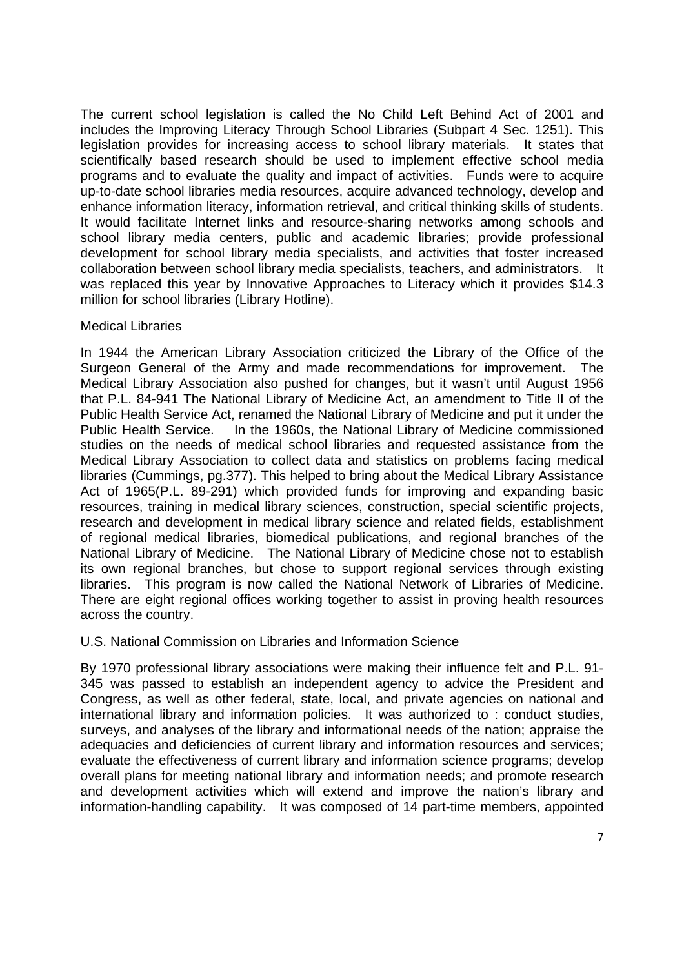The current school legislation is called the No Child Left Behind Act of 2001 and includes the Improving Literacy Through School Libraries (Subpart 4 Sec. 1251). This legislation provides for increasing access to school library materials. It states that scientifically based research should be used to implement effective school media programs and to evaluate the quality and impact of activities. Funds were to acquire up-to-date school libraries media resources, acquire advanced technology, develop and enhance information literacy, information retrieval, and critical thinking skills of students. It would facilitate Internet links and resource-sharing networks among schools and school library media centers, public and academic libraries; provide professional development for school library media specialists, and activities that foster increased collaboration between school library media specialists, teachers, and administrators. It was replaced this year by Innovative Approaches to Literacy which it provides \$14.3 million for school libraries (Library Hotline).

# Medical Libraries

In 1944 the American Library Association criticized the Library of the Office of the Surgeon General of the Army and made recommendations for improvement. The Medical Library Association also pushed for changes, but it wasn't until August 1956 that P.L. 84-941 The National Library of Medicine Act, an amendment to Title II of the Public Health Service Act, renamed the National Library of Medicine and put it under the Public Health Service. In the 1960s, the National Library of Medicine commissioned studies on the needs of medical school libraries and requested assistance from the Medical Library Association to collect data and statistics on problems facing medical libraries (Cummings, pg.377). This helped to bring about the Medical Library Assistance Act of 1965(P.L. 89-291) which provided funds for improving and expanding basic resources, training in medical library sciences, construction, special scientific projects, research and development in medical library science and related fields, establishment of regional medical libraries, biomedical publications, and regional branches of the National Library of Medicine. The National Library of Medicine chose not to establish its own regional branches, but chose to support regional services through existing libraries. This program is now called the National Network of Libraries of Medicine. There are eight regional offices working together to assist in proving health resources across the country.

## U.S. National Commission on Libraries and Information Science

By 1970 professional library associations were making their influence felt and P.L. 91- 345 was passed to establish an independent agency to advice the President and Congress, as well as other federal, state, local, and private agencies on national and international library and information policies. It was authorized to : conduct studies, surveys, and analyses of the library and informational needs of the nation; appraise the adequacies and deficiencies of current library and information resources and services; evaluate the effectiveness of current library and information science programs; develop overall plans for meeting national library and information needs; and promote research and development activities which will extend and improve the nation's library and information-handling capability. It was composed of 14 part-time members, appointed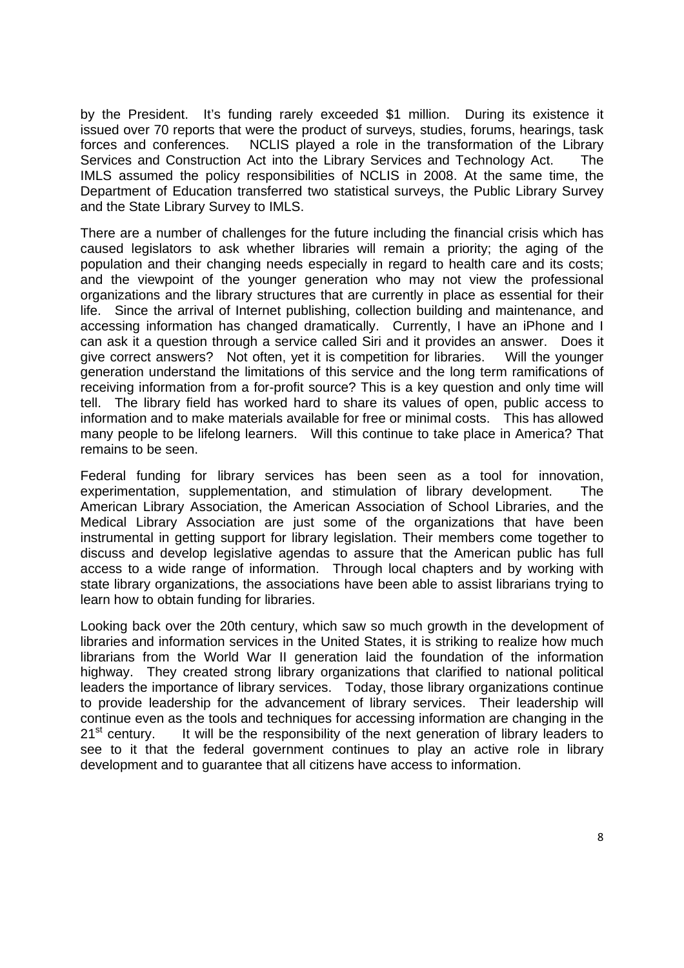by the President. It's funding rarely exceeded \$1 million. During its existence it issued over 70 reports that were the product of surveys, studies, forums, hearings, task forces and conferences. NCLIS played a role in the transformation of the Library Services and Construction Act into the Library Services and Technology Act. The IMLS assumed the policy responsibilities of NCLIS in 2008. At the same time, the Department of Education transferred two statistical surveys, the Public Library Survey and the State Library Survey to IMLS.

There are a number of challenges for the future including the financial crisis which has caused legislators to ask whether libraries will remain a priority; the aging of the population and their changing needs especially in regard to health care and its costs; and the viewpoint of the younger generation who may not view the professional organizations and the library structures that are currently in place as essential for their life. Since the arrival of Internet publishing, collection building and maintenance, and accessing information has changed dramatically. Currently, I have an iPhone and I can ask it a question through a service called Siri and it provides an answer. Does it give correct answers? Not often, yet it is competition for libraries. Will the younger generation understand the limitations of this service and the long term ramifications of receiving information from a for-profit source? This is a key question and only time will tell. The library field has worked hard to share its values of open, public access to information and to make materials available for free or minimal costs. This has allowed many people to be lifelong learners. Will this continue to take place in America? That remains to be seen.

Federal funding for library services has been seen as a tool for innovation, experimentation, supplementation, and stimulation of library development. The American Library Association, the American Association of School Libraries, and the Medical Library Association are just some of the organizations that have been instrumental in getting support for library legislation. Their members come together to discuss and develop legislative agendas to assure that the American public has full access to a wide range of information. Through local chapters and by working with state library organizations, the associations have been able to assist librarians trying to learn how to obtain funding for libraries.

Looking back over the 20th century, which saw so much growth in the development of libraries and information services in the United States, it is striking to realize how much librarians from the World War II generation laid the foundation of the information highway. They created strong library organizations that clarified to national political leaders the importance of library services. Today, those library organizations continue to provide leadership for the advancement of library services. Their leadership will continue even as the tools and techniques for accessing information are changing in the  $21<sup>st</sup>$  century. It will be the responsibility of the next generation of library leaders to see to it that the federal government continues to play an active role in library development and to guarantee that all citizens have access to information.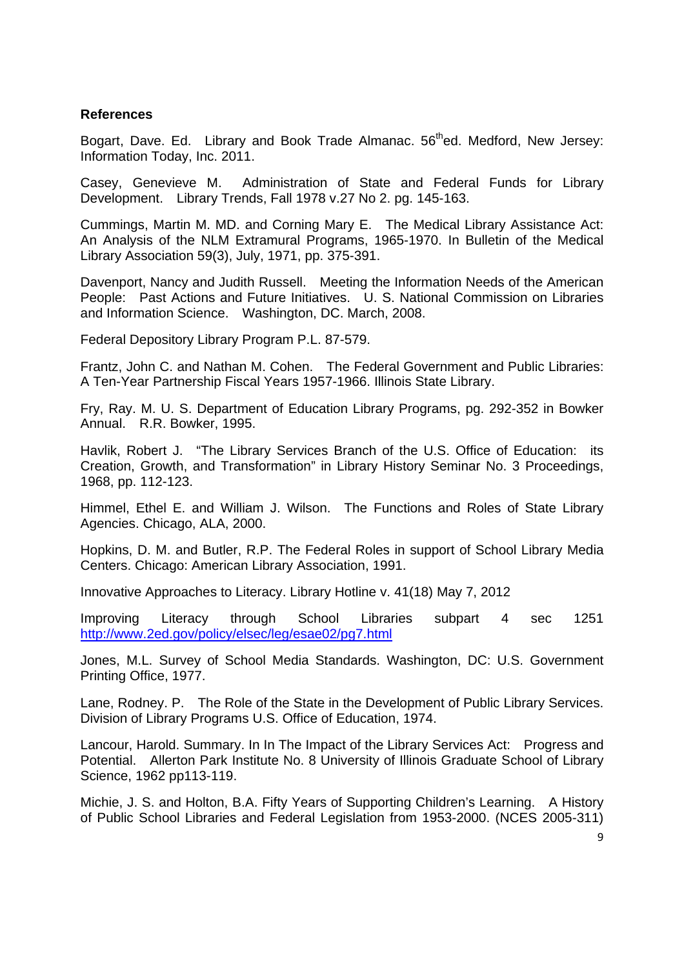#### **References**

Bogart, Dave. Ed. Library and Book Trade Almanac. 56<sup>th</sup>ed. Medford, New Jersey: Information Today, Inc. 2011.

Casey, Genevieve M. Administration of State and Federal Funds for Library Development. Library Trends, Fall 1978 v.27 No 2. pg. 145-163.

Cummings, Martin M. MD. and Corning Mary E. The Medical Library Assistance Act: An Analysis of the NLM Extramural Programs, 1965-1970. In Bulletin of the Medical Library Association 59(3), July, 1971, pp. 375-391.

Davenport, Nancy and Judith Russell. Meeting the Information Needs of the American People: Past Actions and Future Initiatives. U. S. National Commission on Libraries and Information Science. Washington, DC. March, 2008.

Federal Depository Library Program P.L. 87-579.

Frantz, John C. and Nathan M. Cohen. The Federal Government and Public Libraries: A Ten-Year Partnership Fiscal Years 1957-1966. Illinois State Library.

Fry, Ray. M. U. S. Department of Education Library Programs, pg. 292-352 in Bowker Annual. R.R. Bowker, 1995.

Havlik, Robert J. "The Library Services Branch of the U.S. Office of Education: its Creation, Growth, and Transformation" in Library History Seminar No. 3 Proceedings, 1968, pp. 112-123.

Himmel, Ethel E. and William J. Wilson. The Functions and Roles of State Library Agencies. Chicago, ALA, 2000.

Hopkins, D. M. and Butler, R.P. The Federal Roles in support of School Library Media Centers. Chicago: American Library Association, 1991.

Innovative Approaches to Literacy. Library Hotline v. 41(18) May 7, 2012

Improving Literacy through School Libraries subpart 4 sec 1251 http://www.2ed.gov/policy/elsec/leg/esae02/pg7.html

Jones, M.L. Survey of School Media Standards. Washington, DC: U.S. Government Printing Office, 1977.

Lane, Rodney. P. The Role of the State in the Development of Public Library Services. Division of Library Programs U.S. Office of Education, 1974.

Lancour, Harold. Summary. In In The Impact of the Library Services Act: Progress and Potential. Allerton Park Institute No. 8 University of Illinois Graduate School of Library Science, 1962 pp113-119.

Michie, J. S. and Holton, B.A. Fifty Years of Supporting Children's Learning. A History of Public School Libraries and Federal Legislation from 1953-2000. (NCES 2005-311)